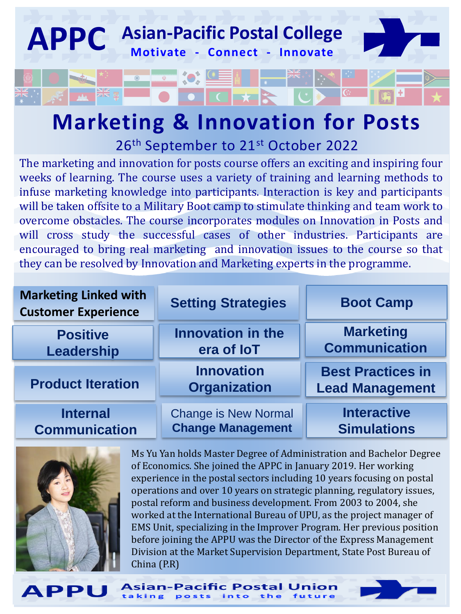

## **Marketing & Innovation for Posts** 26<sup>th</sup> September to 21<sup>st</sup> October 2022

The marketing and innovation for posts course offers an exciting and inspiring four weeks of learning. The course uses a variety of training and learning methods to infuse marketing knowledge into participants. Interaction is key and participants will be taken offsite to a Military Boot camp to stimulate thinking and team work to overcome obstacles. The course incorporates modules on Innovation in Posts and will cross study the successful cases of other industries. Participants are encouraged to bring real marketing and innovation issues to the course so that they can be resolved by Innovation and Marketing experts in the programme.

| <b>Marketing Linked with</b><br><b>Customer Experience</b> | <b>Setting Strategies</b>                | <b>Boot Camp</b>                                   |  |
|------------------------------------------------------------|------------------------------------------|----------------------------------------------------|--|
| <b>Positive</b>                                            | <b>Innovation in the</b>                 | <b>Marketing</b>                                   |  |
| Leadership                                                 | era of <b>loT</b>                        | <b>Communication</b>                               |  |
| <b>Product Iteration</b>                                   | <b>Innovation</b><br><b>Organization</b> | <b>Best Practices in</b><br><b>Lead Management</b> |  |
| <b>Internal</b>                                            | <b>Change is New Normal</b>              | <b>Interactive</b>                                 |  |
| <b>Communication</b>                                       | <b>Change Management</b>                 | <b>Simulations</b>                                 |  |

Asian-Pacific Postal Ur



**APPU** 

Ms Yu Yan holds Master Degree of Administration and Bachelor Degree of Economics. She joined the APPC in January 2019. Her working experience in the postal sectors including 10 years focusing on postal operations and over 10 years on strategic planning, regulatory issues, postal reform and business development. From 2003 to 2004, she worked at the International Bureau of UPU, as the project manager of EMS Unit, specializing in the Improver Program. Her previous position before joining the APPU was the Director of the Express Management Division at the Market Supervision Department, State Post Bureau of China (P.R)